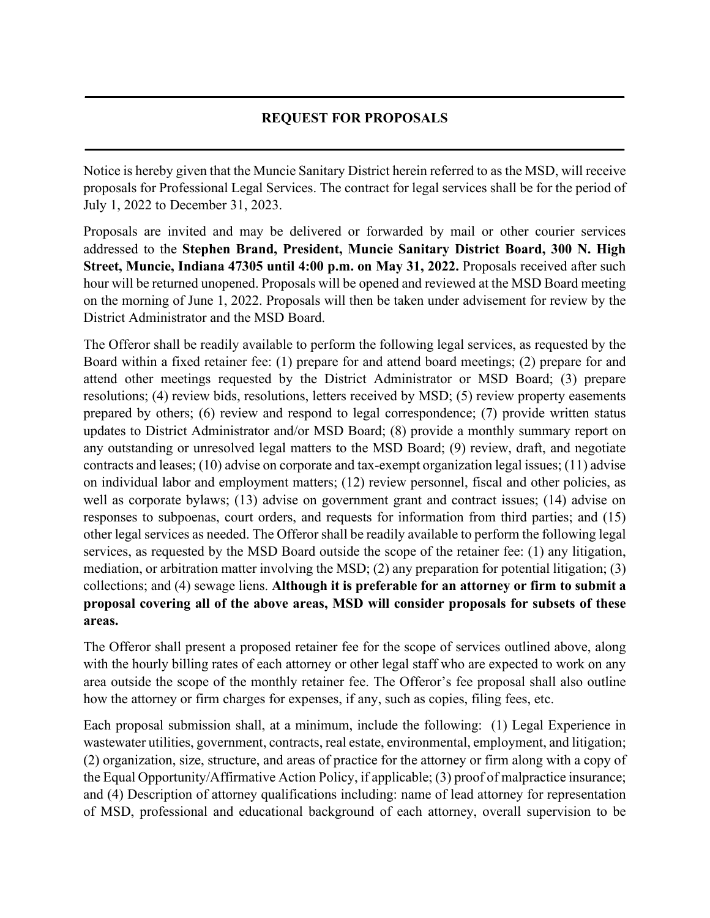## **REQUEST FOR PROPOSALS**

**\_\_\_\_\_\_\_\_\_\_\_\_\_\_\_\_\_\_\_\_\_\_\_\_\_\_\_\_\_\_\_\_\_\_\_\_\_\_\_\_\_\_\_\_\_\_\_\_\_\_\_\_\_\_\_\_\_\_\_\_\_\_\_\_\_\_\_\_\_\_\_\_\_\_\_\_\_\_\_\_\_\_\_\_\_**

**\_\_\_\_\_\_\_\_\_\_\_\_\_\_\_\_\_\_\_\_\_\_\_\_\_\_\_\_\_\_\_\_\_\_\_\_\_\_\_\_\_\_\_\_\_\_\_\_\_\_\_\_\_\_\_\_\_\_\_\_\_\_\_\_\_\_\_\_\_\_\_\_\_\_\_\_\_\_\_\_\_\_\_\_\_**

Notice is hereby given that the Muncie Sanitary District herein referred to as the MSD, will receive proposals for Professional Legal Services. The contract for legal services shall be for the period of July 1, 2022 to December 31, 2023.

Proposals are invited and may be delivered or forwarded by mail or other courier services addressed to the **Stephen Brand, President, Muncie Sanitary District Board, 300 N. High Street, Muncie, Indiana 47305 until 4:00 p.m. on May 31, 2022.** Proposals received after such hour will be returned unopened. Proposals will be opened and reviewed at the MSD Board meeting on the morning of June 1, 2022. Proposals will then be taken under advisement for review by the District Administrator and the MSD Board.

The Offeror shall be readily available to perform the following legal services, as requested by the Board within a fixed retainer fee: (1) prepare for and attend board meetings; (2) prepare for and attend other meetings requested by the District Administrator or MSD Board; (3) prepare resolutions; (4) review bids, resolutions, letters received by MSD; (5) review property easements prepared by others; (6) review and respond to legal correspondence; (7) provide written status updates to District Administrator and/or MSD Board; (8) provide a monthly summary report on any outstanding or unresolved legal matters to the MSD Board; (9) review, draft, and negotiate contracts and leases; (10) advise on corporate and tax-exempt organization legal issues; (11) advise on individual labor and employment matters; (12) review personnel, fiscal and other policies, as well as corporate bylaws; (13) advise on government grant and contract issues; (14) advise on responses to subpoenas, court orders, and requests for information from third parties; and (15) other legal services as needed. The Offeror shall be readily available to perform the following legal services, as requested by the MSD Board outside the scope of the retainer fee: (1) any litigation, mediation, or arbitration matter involving the MSD; (2) any preparation for potential litigation; (3) collections; and (4) sewage liens. **Although it is preferable for an attorney or firm to submit a proposal covering all of the above areas, MSD will consider proposals for subsets of these areas.**

The Offeror shall present a proposed retainer fee for the scope of services outlined above, along with the hourly billing rates of each attorney or other legal staff who are expected to work on any area outside the scope of the monthly retainer fee. The Offeror's fee proposal shall also outline how the attorney or firm charges for expenses, if any, such as copies, filing fees, etc.

Each proposal submission shall, at a minimum, include the following: (1) Legal Experience in wastewater utilities, government, contracts, real estate, environmental, employment, and litigation; (2) organization, size, structure, and areas of practice for the attorney or firm along with a copy of the Equal Opportunity/Affirmative Action Policy, if applicable; (3) proof of malpractice insurance; and (4) Description of attorney qualifications including: name of lead attorney for representation of MSD, professional and educational background of each attorney, overall supervision to be